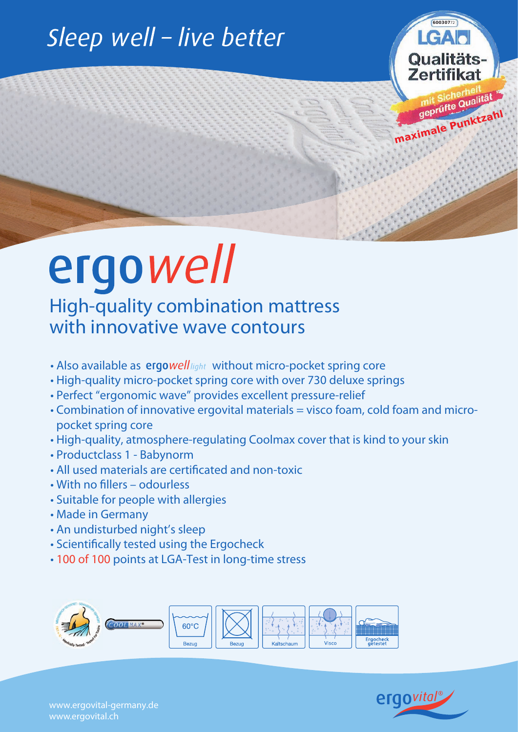### Sleep well - live better

# ergowell

High-quality combination mattress with innovative wave contours

- Also available as  $ergo$ *well* light without micro-pocket spring core
- High-quality micro-pocket spring core with over 730 deluxe springs
- Perfect "ergonomic wave" provides excellent pressure-relief
- Combination of innovative ergovital materials = visco foam, cold foam and micropocket spring core
- High-quality, atmosphere-regulating Coolmax cover that is kind to your skin
- Productclass 1 Babynorm
- All used materials are certificated and non-toxic
- With no fillers odourless
- Suitable for people with allergies
- Made in Germany
- An undisturbed night's sleep
- Scientifically tested using the Ergocheck
- 100 of 100 points at LGA-Test in long-time stress





**maximale Punktzahl**

**60030772**

**Qualitäts** Zertifikat

 $IGA$ 

www.ergovital-germany.de www.ergovital.ch